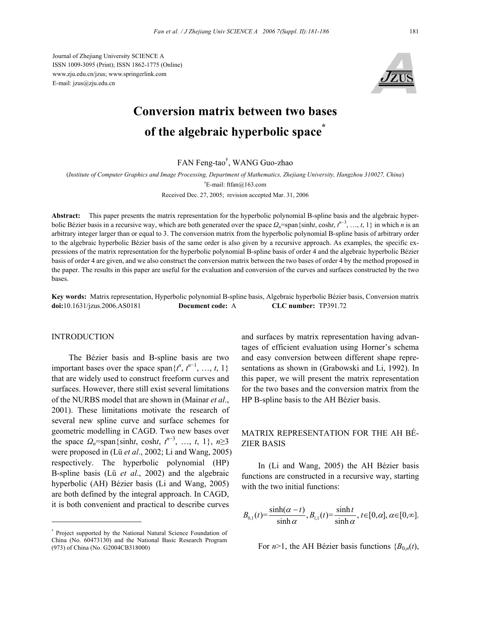Journal of Zhejiang University SCIENCE A ISSN 1009-3095 (Print); ISSN 1862-1775 (Online) www.zju.edu.cn/jzus; www.springerlink.com E-mail: jzus@zju.edu.cn



# **Conversion matrix between two bases of the algebraic hyperbolic space\***

FAN Feng-tao† , WANG Guo-zhao

(*Institute of Computer Graphics and Image Processing, Department of Mathematics, Zhejiang University, Hangzhou 310027, China*) † E-mail: ftfan@163.com

Received Dec. 27, 2005; revision accepted Mar. 31, 2006

**Abstract:** This paper presents the matrix representation for the hyperbolic polynomial B-spline basis and the algebraic hyperbolic Bézier basis in a recursive way, which are both generated over the space *Ωn*=span{sinh*t*, cosh*t*, *t n*−3 , …, *t*, 1} in which *n* is an arbitrary integer larger than or equal to 3. The conversion matrix from the hyperbolic polynomial B-spline basis of arbitrary order to the algebraic hyperbolic Bézier basis of the same order is also given by a recursive approach. As examples, the specific expressions of the matrix representation for the hyperbolic polynomial B-spline basis of order 4 and the algebraic hyperbolic Bézier basis of order 4 are given, and we also construct the conversion matrix between the two bases of order 4 by the method proposed in the paper. The results in this paper are useful for the evaluation and conversion of the curves and surfaces constructed by the two bases.

**Key words:** Matrix representation, Hyperbolic polynomial B-spline basis, Algebraic hyperbolic Bézier basis, Conversion matrix **doi:**10.1631/jzus.2006.AS0181 **Document code:** A **CLC number:** TP391.72

#### **INTRODUCTION**

The Bézier basis and B-spline basis are two important bases over the space span $\{t^n, t^{n-1}, \ldots, t, 1\}$ that are widely used to construct freeform curves and surfaces. However, there still exist several limitations of the NURBS model that are shown in (Mainar *et al*., 2001). These limitations motivate the research of several new spline curve and surface schemes for geometric modelling in CAGD. Two new bases over the space  $\Omega_n = \text{span}\{\sinh t, \cosh t, t^{n-3}, \dots, t, 1\}, n \ge 3$ were proposed in (Lü *et al*., 2002; Li and Wang, 2005) respectively. The hyperbolic polynomial (HP) B-spline basis (Lü *et al*., 2002) and the algebraic hyperbolic (AH) Bézier basis (Li and Wang, 2005) are both defined by the integral approach. In CAGD, it is both convenient and practical to describe curves

and surfaces by matrix representation having advantages of efficient evaluation using Horner's schema and easy conversion between different shape representations as shown in (Grabowski and Li, 1992). In this paper, we will present the matrix representation for the two bases and the conversion matrix from the HP B-spline basis to the AH Bézier basis.

## MATRIX REPRESENTATION FOR THE AH BÉ-ZIER BASIS

In (Li and Wang, 2005) the AH Bézier basis functions are constructed in a recursive way, starting with the two initial functions:

$$
B_{0,1}(t) = \frac{\sinh(\alpha - t)}{\sinh \alpha}, B_{1,1}(t) = \frac{\sinh t}{\sinh \alpha}, t \in [0, \alpha], \alpha \in [0, \infty].
$$

For  $n>1$ , the AH Bézier basis functions  ${B_{0,n}(t)}$ ,

<sup>\*</sup> Project supported by the National Natural Science Foundation of China (No. 60473130) and the National Basic Research Program (973) of China (No. G2004CB318000)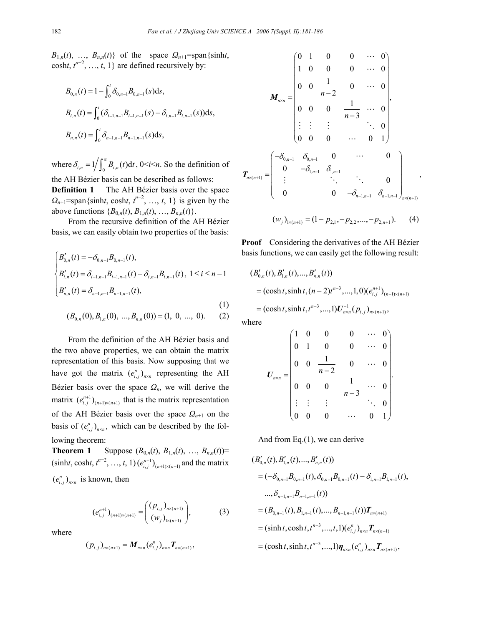$B_{1,n}(t)$ , …,  $B_{n,n}(t)$ } of the space  $\Omega_{n+1}$ =span{sinh*t*, cosht,  $t^{n-2}$ , …,  $t$ , 1} are defined recursively by:

$$
B_{0,n}(t) = 1 - \int_0^t \delta_{0,n-1} B_{0,n-1}(s) ds,
$$
  
\n
$$
B_{i,n}(t) = \int_0^t (\delta_{i-1,n-1} B_{i-1,n-1}(s) - \delta_{i,n-1} B_{i,n-1}(s)) ds,
$$
  
\n
$$
B_{n,n}(t) = \int_0^t \delta_{n-1,n-1} B_{n-1,n-1}(s) ds,
$$

where  $\delta_{i,n} = 1/\int_0^{\alpha} B_{i,n}(t) dt$ ,  $0 \le i \le n$ . So the definition of the AH Bézier basis can be described as follows: **Definition 1** The AH Bézier basis over the space

 $Q_{n+1}$ =span{sinh*t*, cosh*t*,  $t^{n-2}$ , …, *t*, 1} is given by the above functions  ${B_{0,n}(t), B_{1,n}(t), ..., B_{n,n}(t)}$ .

From the recursive definition of the AH Bézier basis, we can easily obtain two properties of the basis:

$$
\begin{cases}\nB'_{0,n}(t) = -\delta_{0,n-1}B_{0,n-1}(t), \\
B'_{i,n}(t) = \delta_{i-1,n-1}B_{i-1,n-1}(t) - \delta_{i,n-1}B_{i,n-1}(t), \ 1 \le i \le n-1 \\
B'_{n,n}(t) = \delta_{n-1,n-1}B_{n-1,n-1}(t),\n\end{cases} \tag{1}
$$

$$
(B_{0,n}(0), B_{1,n}(0), ..., B_{n,n}(0)) = (1, 0, ..., 0). (2)
$$

From the definition of the AH Bézier basis and the two above properties, we can obtain the matrix representation of this basis. Now supposing that we have got the matrix  $(e_{i,j}^n)_{n \times n}$  representing the AH Bézier basis over the space  $\Omega_n$ , we will derive the matrix  $(e_{i,j}^{n+1})_{(n+1)\times(n+1)}$  that is the matrix representation of the AH Bézier basis over the space *Ωn*+1 on the basis of  $(e_{i,j}^n)_{n \times n}$ , which can be described by the following theorem:

**Theorem 1** Suppose  $(B_{0,n}(t), B_{1,n}(t), ..., B_{n,n}(t))$ =  $(\sinh t, \cosh t, t^{n-2}, \ldots, t, 1)$   $(e_{i,j}^{n+1})_{(n+1)\times(n+1)}$  and the matrix  $(e_{i,j}^n)_{n \times n}$  is known, then

$$
\left(e_{i,j}^{n+1}\right)_{(n+1)\times(n+1)} = \left(\begin{array}{c}\n\left(p_{i,j}\right)_{n\times(n+1)} \\
\left(w_{j}\right)_{1\times(n+1)}\n\end{array}\right),\n\tag{3}
$$

where

$$
(p_{i,j})_{n\times(n+1)} = M_{n\times n}(e_{i,j})_{n\times n} T_{n\times(n+1)},
$$

$$
M_{n \times n} = \begin{pmatrix} 0 & 1 & 0 & 0 & \cdots & 0 \\ 1 & 0 & 0 & 0 & \cdots & 0 \\ 0 & 0 & \frac{1}{n-2} & 0 & \cdots & 0 \\ 0 & 0 & 0 & \frac{1}{n-3} & \cdots & 0 \\ \vdots & \vdots & \vdots & & \ddots & 0 \\ 0 & 0 & 0 & \cdots & 0 & 1 \end{pmatrix},
$$

$$
T_{n \times (n+1)} = \begin{pmatrix} -\delta_{0,n-1} & \delta_{0,n-1} & 0 & \cdots & 0 \\ 0 & -\delta_{1,n-1} & \delta_{1,n-1} & & & \\ \vdots & & \ddots & \ddots & 0 & \\ 0 & & 0 & -\delta_{n-1,n-1} & \delta_{n-1,n-1} \end{pmatrix}_{n \times (n+1)},
$$

$$
(w_j)_{1 \times (n+1)} = (1 - p_{2,1}, -p_{2,2}, \dots, -p_{2,n+1}).
$$
 (4)

**Proof** Considering the derivatives of the AH Bézier basis functions, we can easily get the following result:

$$
(B'_{0,n}(t), B'_{1,n}(t),..., B'_{n,n}(t))
$$
  
= (cosh t, sinh t, (n-2)t<sup>n-3</sup>,...,1,0)(e<sub>i,j</sub><sup>n+1</sup>)<sub>(n+1)\times (n+1)</sub>  
= (cosh t, sinh t, t<sup>n-3</sup>,...,1)U<sub>n\times n</sub><sup>-1</sup>(p<sub>i,j</sub>)<sub>n\times (n+1)</sub>,

where

$$
U_{n \times n} = \begin{pmatrix} 1 & 0 & 0 & 0 & \cdots & 0 \\ 0 & 1 & 0 & 0 & \cdots & 0 \\ 0 & 0 & \frac{1}{n-2} & 0 & \cdots & 0 \\ 0 & 0 & 0 & \frac{1}{n-3} & \cdots & 0 \\ \vdots & \vdots & \vdots & \ddots & \vdots & \vdots \\ 0 & 0 & 0 & \cdots & 0 & 1 \end{pmatrix}.
$$

And from Eq.(1), we can derive

$$
(B'_{0,n}(t), B'_{1,n}(t),..., B'_{n,n}(t))
$$
  
=  $(-\delta_{0,n-1}B_{0,n-1}(t), \delta_{0,n-1}B_{0,n-1}(t) - \delta_{1,n-1}B_{1,n-1}(t),$   
 $..., \delta_{n-1,n-1}B_{n-1,n-1}(t))$   
=  $(B_{0,n-1}(t), B_{1,n-1}(t),..., B_{n-1,n-1}(t))\boldsymbol{T}_{n\times(n+1)}$   
=  $(\sinh t, \cosh t, t^{n-3},..., t, 1)(e_{i,j}^n)_{n\times n} \boldsymbol{T}_{n\times(n+1)}$   
=  $(\cosh t, \sinh t, t^{n-3},..., 1)\boldsymbol{\eta}_{n\times n}(e_{i,j}^n)_{n\times n} \boldsymbol{T}_{n\times(n+1)},$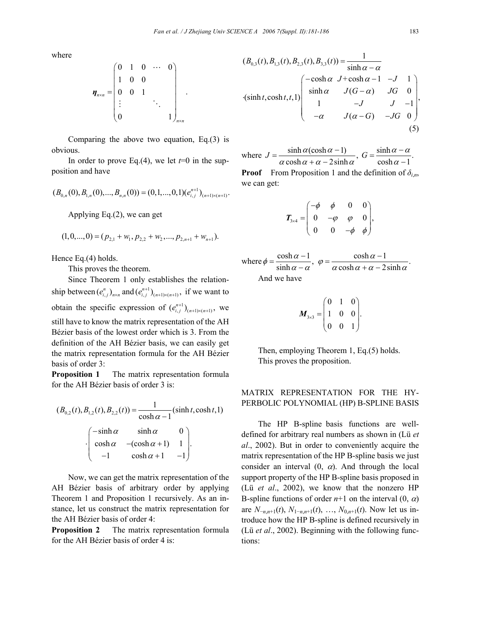where

$$
\boldsymbol{\eta}_{n \times n} = \begin{pmatrix} 0 & 1 & 0 & \cdots & 0 \\ 1 & 0 & 0 & & \\ 0 & 0 & 1 & & \\ \vdots & & & \ddots & \\ 0 & & & & 1 \end{pmatrix}_{n \times n}.
$$

Comparing the above two equation, Eq.(3) is obvious.

In order to prove Eq.(4), we let  $t=0$  in the supposition and have

$$
(B_{0,n}(0), B_{1,n}(0),...,B_{n,n}(0)) = (0,1,...,0,1)(e_{i,j}^{n+1})_{(n+1)\times(n+1)}.
$$

Applying Eq.(2), we can get

$$
(1,0,...,0)=(p_{2,1}+w_1,p_{2,2}+w_2,...,p_{2,n+1}+w_{n+1}).
$$

Hence Eq.(4) holds.

This proves the theorem.

Since Theorem 1 only establishes the relationship between  $(e_{i,j}^n)_{n \times n}$  and  $(e_{i,j}^{n+1})_{(n+1) \times (n+1)}$ , if we want to obtain the specific expression of  $(e_{i,j}^{n+1})_{(n+1)\times(n+1)}$ , we still have to know the matrix representation of the AH Bézier basis of the lowest order which is 3. From the definition of the AH Bézier basis, we can easily get the matrix representation formula for the AH Bézier basis of order 3:

**Proposition 1** The matrix representation formula for the AH Bézier basis of order 3 is:

$$
(B_{0,2}(t), B_{1,2}(t), B_{2,2}(t)) = \frac{1}{\cosh \alpha - 1} (\sinh t, \cosh t, 1)
$$

$$
-\left(\begin{array}{ccc}\n-\sinh \alpha & \sinh \alpha & 0 \\
\cosh \alpha & -(\cosh \alpha + 1) & 1 \\
-1 & \cosh \alpha + 1 & -1\n\end{array}\right).
$$

Now, we can get the matrix representation of the AH Bézier basis of arbitrary order by applying Theorem 1 and Proposition 1 recursively. As an instance, let us construct the matrix representation for the AH Bézier basis of order 4:

**Proposition 2** The matrix representation formula for the AH Bézier basis of order 4 is:

$$
(B_{0,3}(t), B_{1,3}(t), B_{2,3}(t), B_{3,3}(t)) = \frac{1}{\sinh \alpha - \alpha}
$$
  
\n
$$
\begin{pmatrix}\n-\cosh \alpha & J + \cosh \alpha - 1 & -J & 1 \\
\sinh \alpha & J(G - \alpha) & JG & 0 \\
1 & -J & J & -1 \\
-\alpha & J(\alpha - G) & -JG & 0\n\end{pmatrix},
$$
\n(5)

where  $J = \frac{\sinh \alpha (\cosh \alpha - 1)}{\alpha \cosh \alpha + \alpha - 2 \sinh \alpha}$ ,  $G = \frac{\sinh \alpha - \alpha}{\cosh \alpha - 1}$ . **Proof** From Proposition 1 and the definition of  $\delta_{i,n}$ , we can get:

$$
\boldsymbol{T}_{3\times 4} = \begin{pmatrix} -\phi & \phi & 0 & 0 \\ 0 & -\varphi & \varphi & 0 \\ 0 & 0 & -\phi & \phi \end{pmatrix},
$$

where  $\phi = \frac{\cosh \alpha - 1}{\sinh \alpha - \alpha}, \ \ \varphi = \frac{\cosh \alpha - 1}{\alpha \cosh \alpha + \alpha - 2\sinh \alpha}.$ And we have

$$
\boldsymbol{M}_{3\times 3} = \begin{pmatrix} 0 & 1 & 0 \\ 1 & 0 & 0 \\ 0 & 0 & 1 \end{pmatrix}.
$$

Then, employing Theorem 1, Eq.(5) holds. This proves the proposition.

### MATRIX REPRESENTATION FOR THE HY-PERBOLIC POLYNOMIAL (HP) B-SPLINE BASIS

The HP B-spline basis functions are welldefined for arbitrary real numbers as shown in (Lü *et al*., 2002). But in order to conveniently acquire the matrix representation of the HP B-spline basis we just consider an interval  $(0, \alpha)$ . And through the local support property of the HP B-spline basis proposed in (Lü *et al*., 2002), we know that the nonzero HP B-spline functions of order  $n+1$  on the interval  $(0, \alpha)$ are  $N_{-n,n+1}(t)$ ,  $N_{1-n,n+1}(t)$ , …,  $N_{0,n+1}(t)$ . Now let us introduce how the HP B-spline is defined recursively in (Lü *et al*., 2002). Beginning with the following functions: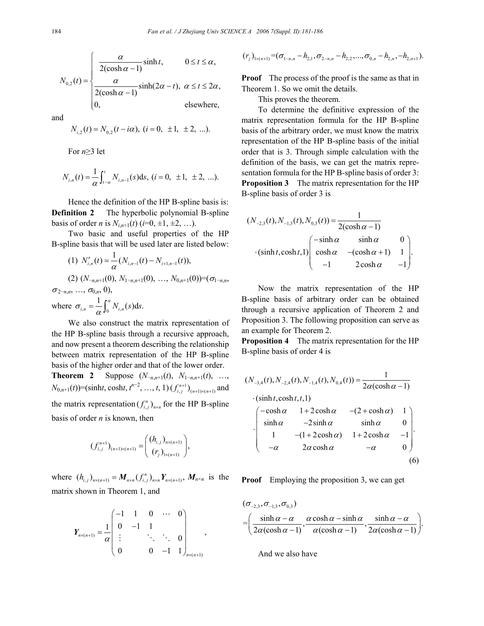$$
N_{0,2}(t) = \begin{cases} \frac{\alpha}{2(\cosh \alpha - 1)} \sinh t, & 0 \le t \le \alpha, \\ \frac{\alpha}{2(\cosh \alpha - 1)} \sinh(2\alpha - t), & \alpha \le t \le 2\alpha, \\ 0, & \text{elsewhere,} \end{cases}
$$

and

$$
N_{i,2}(t) = N_{0,2}(t - i\alpha), (i = 0, \pm 1, \pm 2, ...).
$$

For *n*≥3 let

$$
N_{i,n}(t) = \frac{1}{\alpha} \int_{t-\alpha}^{t} N_{i,n-1}(s) \, ds, \quad (i = 0, \pm 1, \pm 2, \ldots).
$$

Hence the definition of the HP B-spline basis is: **Definition 2** The hyperbolic polynomial B-spline basis of order *n* is  $N_{i,n+1}(t)$  (*i*=0, ±1, ±2, …).

Two basic and useful properties of the HP B-spline basis that will be used later are listed below:

(1) 
$$
N'_{i,n}(t) = \frac{1}{\alpha} (N_{i,n-1}(t) - N_{i+1,n-1}(t)),
$$
  
\n(2)  $(N_{-n,n+1}(0), N_{1-n,n+1}(0), ..., N_{0,n+1}(0)) = (\sigma_{1-n,n}, \sigma_{2-n,n}, ..., \sigma_{0,n}, 0),$   
\nwhere  $\sigma_{i,n} = \frac{1}{\alpha} \int_0^{\alpha} N_{i,n}(s) ds.$ 

We also construct the matrix representation of the HP B-spline basis through a recursive approach, and now present a theorem describing the relationship between matrix representation of the HP B-spline basis of the higher order and that of the lower order. **Theorem 2** Suppose  $(N_{-n,n+1}(t), N_{1-n,n+1}(t), ...$  $N_{0,n+1}(t)$  = (sinht, cosht,  $t^{n-2}$ , ...,  $t$ , 1)  $(f_{i,j}^{n+1})_{(n+1)\times(n+1)}$  and the matrix representation  $(f_{i,j})_{n \times n}$  for the HP B-spline basis of order *n* is known, then

$$
(f_{i,j}^{n+1})_{(n+1)\times(n+1)} = \begin{pmatrix} (h_{i,j})_{n\times(n+1)} \\ (r_{j})_{1\times(n+1)} \end{pmatrix},
$$

where  $(h_{i,j})_{n\times(n+1)} = M_{n\times n} (f_{i,j})_{n\times n} Y_{n\times(n+1)}$ ,  $M_{n\times n}$  is the matrix shown in Theorem 1, and

$$
\boldsymbol{Y}_{n\times(n+1)} = \frac{1}{\alpha} \begin{pmatrix} -1 & 1 & 0 & \cdots & 0 \\ 0 & -1 & 1 & & \\ \vdots & & \ddots & \ddots & 0 \\ 0 & & 0 & -1 & 1 \end{pmatrix}_{n\times(n+1)},
$$

$$
(rj)1\times(n+1) = (\sigma1-n,n - h2,1, \sigma2-n,n - h2,2, ..., \sigma0,n - h2,n, -h2,n+1).
$$

**Proof** The process of the proof is the same as that in Theorem 1. So we omit the details.

This proves the theorem.

To determine the definitive expression of the matrix representation formula for the HP B-spline basis of the arbitrary order, we must know the matrix representation of the HP B-spline basis of the initial order that is 3. Through simple calculation with the definition of the basis, we can get the matrix representation formula for the HP B-spline basis of order 3: **Proposition 3** The matrix representation for the HP B-spline basis of order 3 is

$$
(N_{-2,3}(t), N_{-1,3}(t), N_{0,3}(t)) = \frac{1}{2(\cosh \alpha - 1)}
$$
  
 
$$
\cdot (\sinh t, \cosh t, 1) \begin{pmatrix} -\sinh \alpha & \sinh \alpha & 0 \\ \cosh \alpha & -(\cosh \alpha + 1) & 1 \\ -1 & 2\cosh \alpha & -1 \end{pmatrix}.
$$

Now the matrix representation of the HP B-spline basis of arbitrary order can be obtained through a recursive application of Theorem 2 and Proposition 3. The following proposition can serve as an example for Theorem 2.

**Proposition 4** The matrix representation for the HP B-spline basis of order 4 is

$$
(N_{-3,4}(t), N_{-2,4}(t), N_{-1,4}(t), N_{0,4}(t)) = \frac{1}{2\alpha(\cosh\alpha - 1)}
$$
  
. 
$$
(\sinh t, \cosh t, t, 1)
$$
  
. 
$$
\begin{pmatrix} -\cosh\alpha & 1 + 2\cosh\alpha & -(2 + \cosh\alpha) & 1 \\ \sinh\alpha & -2\sinh\alpha & \sinh\alpha & 0 \\ 1 & -(1 + 2\cosh\alpha) & 1 + 2\cosh\alpha & -1 \\ -\alpha & 2\alpha\cosh\alpha & -\alpha & 0 \end{pmatrix}
$$
. (6)

**Proof** Employing the proposition 3, we can get

$$
(\sigma_{-2,3}, \sigma_{-1,3}, \sigma_{0,3})
$$
  
=
$$
\left(\frac{\sinh \alpha - \alpha}{2\alpha(\cosh \alpha - 1)}, \frac{\alpha \cosh \alpha - \sinh \alpha}{\alpha(\cosh \alpha - 1)}, \frac{\sinh \alpha - \alpha}{2\alpha(\cosh \alpha - 1)}\right).
$$

And we also have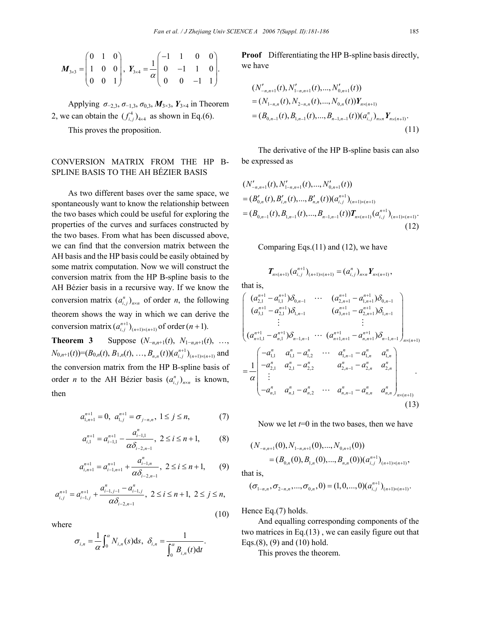$$
\boldsymbol{M}_{3\times 3} = \begin{pmatrix} 0 & 1 & 0 \\ 1 & 0 & 0 \\ 0 & 0 & 1 \end{pmatrix}, \ \boldsymbol{Y}_{3\times 4} = \frac{1}{\alpha} \begin{pmatrix} -1 & 1 & 0 & 0 \\ 0 & -1 & 1 & 0 \\ 0 & 0 & -1 & 1 \end{pmatrix}.
$$

Applying *σ*−2,3, *σ*−1,3, *σ*0,3, *M*3×3, *Y*3×4 in Theorem 2, we can obtain the  $(f_{i,j})_{4\times4}$  as shown in Eq.(6).

This proves the proposition.

## CONVERSION MATRIX FROM THE HP B-SPLINE BASIS TO THE AH BÉZIER BASIS

As two different bases over the same space, we spontaneously want to know the relationship between the two bases which could be useful for exploring the properties of the curves and surfaces constructed by the two bases. From what has been discussed above, we can find that the conversion matrix between the AH basis and the HP basis could be easily obtained by some matrix computation. Now we will construct the conversion matrix from the HP B-spline basis to the AH Bézier basis in a recursive way. If we know the conversion matrix  $(a_{i,j})_{n \times n}$  of order *n*, the following theorem shows the way in which we can derive the conversion matrix  $(a_{i,j}^{n+1})_{(n+1)\times(n+1)}$  of order  $(n+1)$ .

**Theorem 3** Suppose  $(N_{-n,n+1}(t), N_{1-n,n+1}(t), ...,$  $N_{0,n+1}(t)$ = $(B_{0,n}(t), B_{1,n}(t), \ldots, B_{n,n}(t))$  $(a_{i,j}^{n+1})$ <sub>(n+1)×(n+1)</sub> and the conversion matrix from the HP B-spline basis of order *n* to the AH Bézier basis  $(a_{i,j})_{n \times n}$  is known, then

$$
a_{1,n+1}^{n+1} = 0, \ a_{1,j}^{n+1} = \sigma_{j-n,n}, \ 1 \le j \le n,
$$
 (7)

$$
a_{i,1}^{n+1} = a_{i-1,1}^{n+1} - \frac{a_{i-1,1}^n}{\alpha \delta_{i-2,n-1}}, \ 2 \le i \le n+1,
$$
 (8)

$$
a_{i,n+1}^{n+1} = a_{i-1,n+1}^{n+1} + \frac{a_{i-1,n}^n}{\alpha \delta_{i-2,n-1}}, \ 2 \le i \le n+1,
$$
 (9)

$$
a_{i,j}^{n+1} = a_{i-1,j}^{n+1} + \frac{a_{i-1,j-1}^n - a_{i-1,j}^n}{\alpha \delta_{i-2,n-1}}, \ 2 \le i \le n+1, \ 2 \le j \le n,
$$
\n(10)

where

$$
\sigma_{i,n} = \frac{1}{\alpha} \int_0^{\alpha} N_{i,n}(s) \, \mathrm{d} s, \quad \delta_{i,n} = \frac{1}{\int_0^{\alpha} B_{i,n}(t) \, \mathrm{d} t}.
$$

**Proof** Differentiating the HP B-spline basis directly, we have

$$
(N'_{-n,n+1}(t), N'_{1-n,n+1}(t), ..., N'_{0,n+1}(t))
$$
  
=  $(N_{1-n,n}(t), N_{2-n,n}(t), ..., N_{0,n}(t))Y_{n\times(n+1)}$   
=  $(B_{0,n-1}(t), B_{1,n-1}(t), ..., B_{n-1,n-1}(t))(a_{i,j}^n)_{n\times n}Y_{n\times(n+1)}.$  (11)

The derivative of the HP B-spline basis can also be expressed as

$$
(N'_{-n,n+1}(t), N'_{1-n,n+1}(t), ..., N'_{0,n+1}(t))
$$
  
=  $(B'_{0,n}(t), B'_{i,n}(t), ..., B'_{n,n}(t))(a^{n+1}_{i,j})_{(n+1)\times(n+1)}$   
=  $(B_{0,n-1}(t), B_{1,n-1}(t), ..., B_{n-1,n-1}(t))T_{n\times(n+1)}(a^{n+1}_{i,j})_{(n+1)\times(n+1)}.$  (12)

Comparing Eqs.(11) and (12), we have

$$
T_{n\times(n+1)}(a_{i,j}^{n+1})_{(n+1)\times(n+1)}=(a_{i,j}^n)_{n\times n}Y_{n\times(n+1)},
$$

that is,

$$
\begin{pmatrix}\n(a_{2,1}^{n+1} - a_{1,1}^{n+1})\delta_{0,n-1} & \cdots & (a_{2,n+1}^{n+1} - a_{1,n+1}^{n+1})\delta_{0,n-1} \\
(a_{3,1}^{n+1} - a_{2,1}^{n+1})\delta_{1,n-1} & (a_{3,n+1}^{n+1} - a_{2,n+1}^{n+1})\delta_{1,n-1} \\
\vdots & \vdots \\
(a_{n+1,1}^{n+1} - a_{n,1}^{n+1})\delta_{n-1,n-1} & \cdots & (a_{n+1,n+1}^{n+1} - a_{n,n+1}^{n+1})\delta_{n-1,n-1} \\
\vdots & \vdots \\
(a_{n+1,1}^{n+1} - a_{n,1}^{n})\delta_{n-1,n-1} & \cdots & (a_{1,n+1,n+1}^{n+1} - a_{n,n+1}^{n+1})\delta_{n-1,n-1} \\
\vdots & \vdots \\
-a_{1,1}^{n} - a_{2,1}^{n} - a_{2,2}^{n} & a_{2,n-1}^{n} - a_{2,n}^{n} & a_{2,n}^{n} \\
\vdots & \vdots & \ddots & \vdots \\
-a_{n,1}^{n} - a_{n,1}^{n} - a_{n,2}^{n} & \cdots & a_{n,n-1}^{n} - a_{n,n}^{n} & a_{n,n}^{n}\n\end{pmatrix}_{n\times(n+1)}\n\tag{13}
$$

Now we let *t*=0 in the two bases, then we have

$$
(N_{-n,n+1}(0), N_{1-n,n+1}(0),..., N_{0,n+1}(0))
$$
  
=  $(B_{0,n}(0), B_{1,n}(0),..., B_{n,n}(0))(a_{i,j}^{n+1})_{(n+1)\times (n+1)},$ 

that is,

$$
(\sigma_{1-n,n}, \sigma_{2-n,n}, \ldots, \sigma_{0,n}, 0) = (1, 0, \ldots, 0) (a_{i,j}^{n+1})_{(n+1)\times (n+1)}.
$$

Hence Eq.(7) holds.

And equalling corresponding components of the two matrices in Eq.(13) , we can easily figure out that Eqs.(8), (9) and (10) hold.

This proves the theorem.